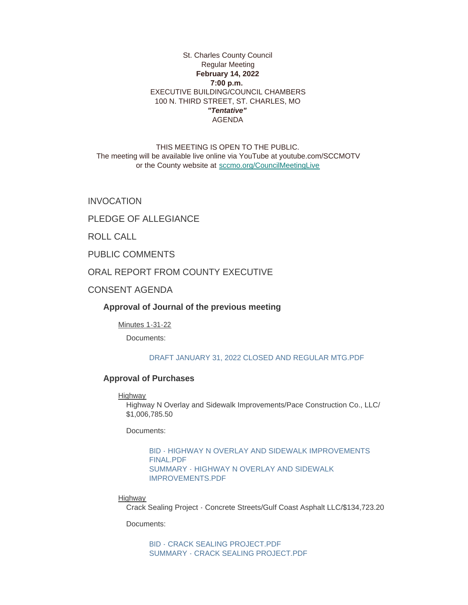# St. Charles County Council Regular Meeting **February 14, 2022 7:00 p.m.**  EXECUTIVE BUILDING/COUNCIL CHAMBERS 100 N. THIRD STREET, ST. CHARLES, MO *"Tentative"* AGENDA

THIS MEETING IS OPEN TO THE PUBLIC. The meeting will be available live online via YouTube at youtube.com/SCCMOTV or the County website at [sccmo.org/CouncilMeetingLive](https://sccmo.org/CouncilMeetingLive)

INVOCATION

PLEDGE OF ALLEGIANCE

ROLL CALL

PUBLIC COMMENTS

ORAL REPORT FROM COUNTY EXECUTIVE

CONSENT AGENDA

**Approval of Journal of the previous meeting**

Minutes 1-31-22

Documents:

## [DRAFT JANUARY 31, 2022 CLOSED AND REGULAR MTG.PDF](https://www.sccmo.org/AgendaCenter/ViewFile/Item/10600?fileID=31605)

## **Approval of Purchases**

Highway

Highway N Overlay and Sidewalk Improvements/Pace Construction Co., LLC/ \$1,006,785.50

Documents:

[BID - HIGHWAY N OVERLAY AND SIDEWALK IMPROVEMENTS](https://www.sccmo.org/AgendaCenter/ViewFile/Item/10591?fileID=31610)  FINAL.PDF [SUMMARY - HIGHWAY N OVERLAY AND SIDEWALK](https://www.sccmo.org/AgendaCenter/ViewFile/Item/10591?fileID=31611)  IMPROVEMENTS.PDF

**Highway** 

Crack Sealing Project - Concrete Streets/Gulf Coast Asphalt LLC/\$134,723.20

Documents:

[BID - CRACK SEALING PROJECT.PDF](https://www.sccmo.org/AgendaCenter/ViewFile/Item/10592?fileID=31612) [SUMMARY - CRACK SEALING PROJECT.PDF](https://www.sccmo.org/AgendaCenter/ViewFile/Item/10592?fileID=31613)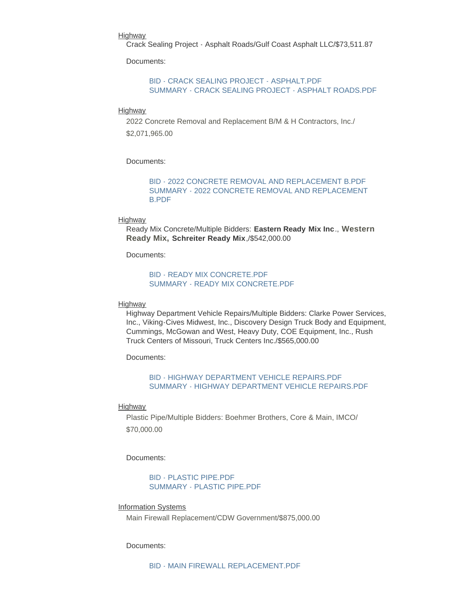#### Highway

Crack Sealing Project - Asphalt Roads/Gulf Coast Asphalt LLC/\$73,511.87

Documents:

### [BID - CRACK SEALING PROJECT - ASPHALT.PDF](https://www.sccmo.org/AgendaCenter/ViewFile/Item/10599?fileID=31608) [SUMMARY - CRACK SEALING PROJECT - ASPHALT ROADS.PDF](https://www.sccmo.org/AgendaCenter/ViewFile/Item/10599?fileID=31609)

#### Highway

2022 Concrete Removal and Replacement B/M & H Contractors, Inc./ \$2,071,965.00

#### Documents:

[BID - 2022 CONCRETE REMOVAL AND REPLACEMENT B.PDF](https://www.sccmo.org/AgendaCenter/ViewFile/Item/10593?fileID=31583) [SUMMARY - 2022 CONCRETE REMOVAL AND REPLACEMENT](https://www.sccmo.org/AgendaCenter/ViewFile/Item/10593?fileID=31584)  B.PDF

#### **Highway**

Ready Mix Concrete/Multiple Bidders: **Eastern Ready Mix Inc**., **Western Ready Mix, Schreiter Ready Mix**,/\$542,000.00

Documents:

### **BID - READY MIX CONCRETE PDF** [SUMMARY - READY MIX CONCRETE.PDF](https://www.sccmo.org/AgendaCenter/ViewFile/Item/10595?fileID=31614)

#### Highway

Highway Department Vehicle Repairs/Multiple Bidders: Clarke Power Services, Inc., Viking-Cives Midwest, Inc., Discovery Design Truck Body and Equipment, Cummings, McGowan and West, Heavy Duty, COE Equipment, Inc., Rush Truck Centers of Missouri, Truck Centers Inc./\$565,000.00

Documents:

### [BID - HIGHWAY DEPARTMENT VEHICLE REPAIRS.PDF](https://www.sccmo.org/AgendaCenter/ViewFile/Item/10596?fileID=31615) [SUMMARY - HIGHWAY DEPARTMENT VEHICLE REPAIRS.PDF](https://www.sccmo.org/AgendaCenter/ViewFile/Item/10596?fileID=31590)

#### **Highway**

Plastic Pipe/Multiple Bidders: Boehmer Brothers, Core & Main, IMCO/ \$70,000.00

Documents:

[BID - PLASTIC PIPE.PDF](https://www.sccmo.org/AgendaCenter/ViewFile/Item/10597?fileID=31616) [SUMMARY - PLASTIC PIPE.PDF](https://www.sccmo.org/AgendaCenter/ViewFile/Item/10597?fileID=31592)

Information Systems

Main Firewall Replacement/CDW Government/\$875,000.00

### Documents: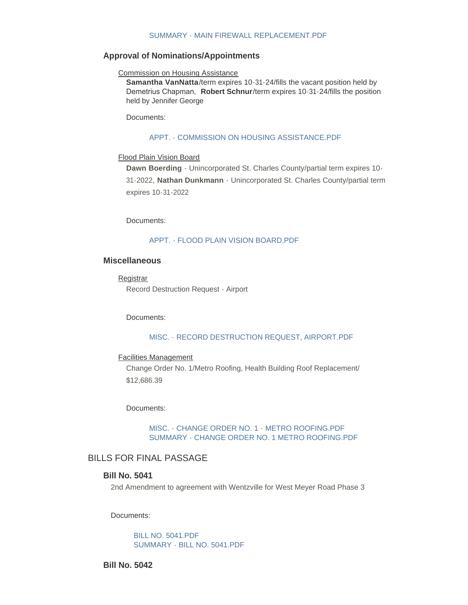## [SUMMARY - MAIN FIREWALL REPLACEMENT.PDF](https://www.sccmo.org/AgendaCenter/ViewFile/Item/10594?fileID=31586)

# **Approval of Nominations/Appointments**

### Commission on Housing Assistance

**Samantha VanNatta**/term expires 10-31-24/fills the vacant position held by Demetrius Chapman, **Robert Schnur**/term expires 10-31-24/fills the position held by Jennifer George

Documents:

#### [APPT. - COMMISSION ON HOUSING ASSISTANCE.PDF](https://www.sccmo.org/AgendaCenter/ViewFile/Item/10612?fileID=31655)

#### Flood Plain Vision Board

**Dawn Boerding** - Unincorporated St. Charles County/partial term expires 10- 31-2022, **Nathan Dunkmann** - Unincorporated St. Charles County/partial term expires 10-31-2022

Documents:

#### [APPT. - FLOOD PLAIN VISION BOARD.PDF](https://www.sccmo.org/AgendaCenter/ViewFile/Item/10616?fileID=31662)

# **Miscellaneous**

## **Registrar**

Record Destruction Request - Airport

Documents:

#### [MISC. - RECORD DESTRUCTION REQUEST, AIRPORT.PDF](https://www.sccmo.org/AgendaCenter/ViewFile/Item/10590?fileID=31578)

### Facilities Management

Change Order No. 1/Metro Roofing, Health Building Roof Replacement/ \$12,686.39

Documents:

## [MISC. - CHANGE ORDER NO. 1 - METRO ROOFING.PDF](https://www.sccmo.org/AgendaCenter/ViewFile/Item/10598?fileID=31594) [SUMMARY - CHANGE ORDER NO. 1 METRO ROOFING.PDF](https://www.sccmo.org/AgendaCenter/ViewFile/Item/10598?fileID=31595)

# BILLS FOR FINAL PASSAGE

# **Bill No. 5041**

2nd Amendment to agreement with Wentzville for West Meyer Road Phase 3

Documents:

[BILL NO. 5041.PDF](https://www.sccmo.org/AgendaCenter/ViewFile/Item/10581?fileID=31560) [SUMMARY - BILL NO. 5041.PDF](https://www.sccmo.org/AgendaCenter/ViewFile/Item/10581?fileID=31561)

**Bill No. 5042**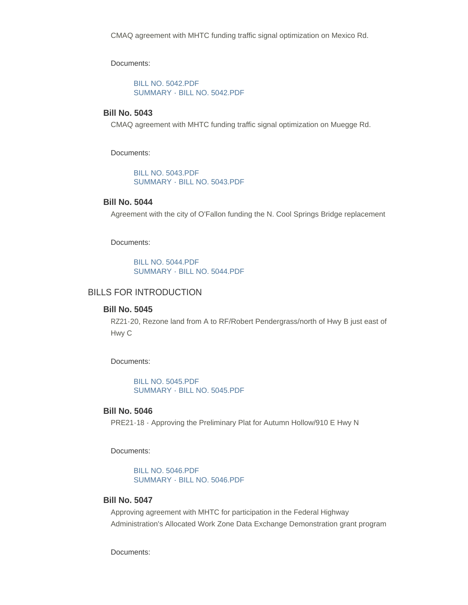Documents:

[BILL NO. 5042.PDF](https://www.sccmo.org/AgendaCenter/ViewFile/Item/10582?fileID=31562) [SUMMARY - BILL NO. 5042.PDF](https://www.sccmo.org/AgendaCenter/ViewFile/Item/10582?fileID=31563)

# **Bill No. 5043**

CMAQ agreement with MHTC funding traffic signal optimization on Muegge Rd.

Documents:

[BILL NO. 5043.PDF](https://www.sccmo.org/AgendaCenter/ViewFile/Item/10583?fileID=31564) [SUMMARY - BILL NO. 5043.PDF](https://www.sccmo.org/AgendaCenter/ViewFile/Item/10583?fileID=31565)

# **Bill No. 5044**

Agreement with the city of O'Fallon funding the N. Cool Springs Bridge replacement

Documents:

[BILL NO. 5044.PDF](https://www.sccmo.org/AgendaCenter/ViewFile/Item/10584?fileID=31566) [SUMMARY - BILL NO. 5044.PDF](https://www.sccmo.org/AgendaCenter/ViewFile/Item/10584?fileID=31567)

# BILLS FOR INTRODUCTION

### **Bill No. 5045**

RZ21-20, Rezone land from A to RF/Robert Pendergrass/north of Hwy B just east of Hwy C

Documents:

[BILL NO. 5045.PDF](https://www.sccmo.org/AgendaCenter/ViewFile/Item/10613?fileID=31656) [SUMMARY - BILL NO. 5045.PDF](https://www.sccmo.org/AgendaCenter/ViewFile/Item/10613?fileID=31657)

# **Bill No. 5046**

PRE21-18 - Approving the Preliminary Plat for Autumn Hollow/910 E Hwy N

Documents:

[BILL NO. 5046.PDF](https://www.sccmo.org/AgendaCenter/ViewFile/Item/10614?fileID=31658) [SUMMARY - BILL NO. 5046.PDF](https://www.sccmo.org/AgendaCenter/ViewFile/Item/10614?fileID=31659)

# **Bill No. 5047**

Approving agreement with MHTC for participation in the Federal Highway Administration's Allocated Work Zone Data Exchange Demonstration grant program

Documents: